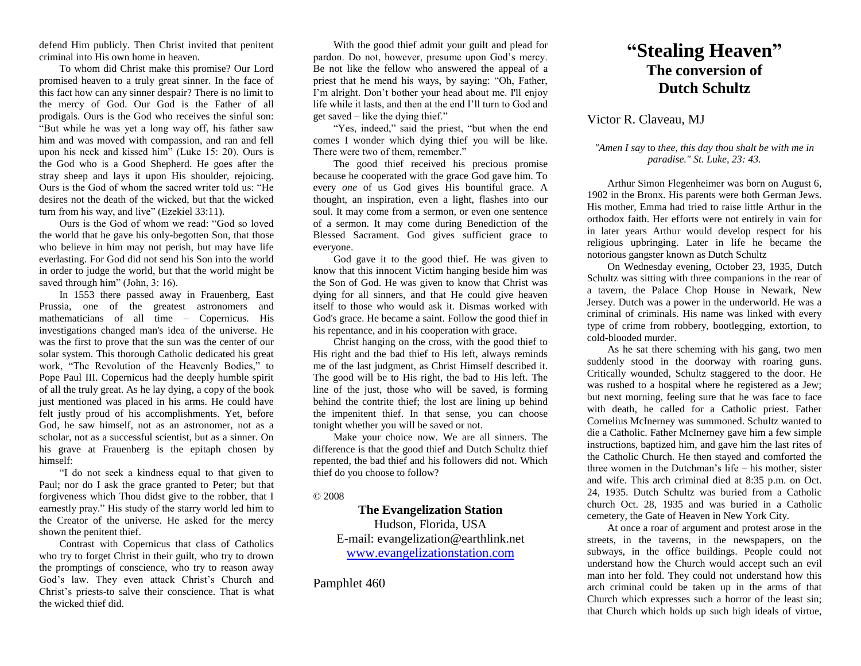defend Him publicly. Then Christ invited that penitent criminal into His own home in heaven.

To whom did Christ make this promise? Our Lord promised heaven to a truly great sinner. In the face of this fact how can any sinner despair? There is no limit to the mercy of God. Our God is the Father of all prodigals. Ours is the God who receives the sinful son: "But while he was yet a long way off, his father saw him and was moved with compassion, and ran and fell upon his neck and kissed him" (Luke 15: 20). Ours is the God who is a Good Shepherd. He goes after the stray sheep and lays it upon His shoulder, rejoicing. Ours is the God of whom the sacred writer told us: "He desires not the death of the wicked, but that the wicked turn from his way, and live" (Ezekiel 33:11).

Ours is the God of whom we read: "God so loved the world that he gave his only-begotten Son, that those who believe in him may not perish, but may have life everlasting. For God did not send his Son into the world in order to judge the world, but that the world might be saved through him" (John, 3: 16).

In 1553 there passed away in Frauenberg, East Prussia, one of the greatest astronomers and mathematicians of all time – Copernicus. His investigations changed man's idea of the universe. He was the first to prove that the sun was the center of our solar system. This thorough Catholic dedicated his great work, "The Revolution of the Heavenly Bodies," to Pope Paul III. Copernicus had the deeply humble spirit of all the truly great. As he lay dying, a copy of the book just mentioned was placed in his arms. He could have felt justly proud of his accomplishments. Yet, before God, he saw himself, not as an astronomer, not as a scholar, not as a successful scientist, but as a sinner. On his grave at Frauenberg is the epitaph chosen by himself:

"I do not seek a kindness equal to that given to Paul; nor do I ask the grace granted to Peter; but that forgiveness which Thou didst give to the robber, that I earnestly pray." His study of the starry world led him to the Creator of the universe. He asked for the mercy shown the penitent thief.

Contrast with Copernicus that class of Catholics who try to forget Christ in their guilt, who try to drown the promptings of conscience, who try to reason away God's law. They even attack Christ's Church and Christ's priests-to salve their conscience. That is what the wicked thief did.

With the good thief admit your guilt and plead for pardon. Do not, however, presume upon God's mercy. Be not like the fellow who answered the appeal of a priest that he mend his ways, by saying: "Oh, Father, I'm alright. Don't bother your head about me. I'll enjoy life while it lasts, and then at the end I'll turn to God and get saved – like the dying thief."

"Yes, indeed," said the priest, "but when the end comes I wonder which dying thief you will be like. There were two of them, remember."

The good thief received his precious promise because he cooperated with the grace God gave him. To every *one* of us God gives His bountiful grace. A thought, an inspiration, even a light, flashes into our soul. It may come from a sermon, or even one sentence of a sermon. It may come during Benediction of the Blessed Sacrament. God gives sufficient grace to everyone.

God gave it to the good thief. He was given to know that this innocent Victim hanging beside him was the Son of God. He was given to know that Christ was dying for all sinners, and that He could give heaven itself to those who would ask it. Dismas worked with God's grace. He became a saint. Follow the good thief in his repentance, and in his cooperation with grace.

Christ hanging on the cross, with the good thief to His right and the bad thief to His left, always reminds me of the last judgment, as Christ Himself described it. The good will be to His right, the bad to His left. The line of the just, those who will be saved, is forming behind the contrite thief; the lost are lining up behind the impenitent thief. In that sense, you can choose tonight whether you will be saved or not.

Make your choice now. We are all sinners. The difference is that the good thief and Dutch Schultz thief repented, the bad thief and his followers did not. Which thief do you choose to follow?

© 2008

**The Evangelization Station** Hudson, Florida, USA E-mail: evangelization@earthlink.net [www.evangelizationstation.com](http://www.pjpiisoe.org/)

Pamphlet 460

## **"Stealing Heaven" The conversion of Dutch Schultz**

## Victor R. Claveau, MJ

## *"Amen I say* to *thee, this day thou shalt be with me in paradise." St. Luke, 23: 43.*

Arthur Simon Flegenheimer was born on August 6, 1902 in the Bronx. His parents were both German Jews. His mother, Emma had tried to raise little Arthur in the orthodox faith. Her efforts were not entirely in vain for in later years Arthur would develop respect for his religious upbringing. Later in life he became the notorious gangster known as Dutch Schultz

On Wednesday evening, October 23, 1935, Dutch Schultz was sitting with three companions in the rear of a tavern, the Palace Chop House in Newark, New Jersey. Dutch was a power in the underworld. He was a criminal of criminals. His name was linked with every type of crime from robbery, bootlegging, extortion, to cold-blooded murder.

As he sat there scheming with his gang, two men suddenly stood in the doorway with roaring guns. Critically wounded, Schultz staggered to the door. He was rushed to a hospital where he registered as a Jew; but next morning, feeling sure that he was face to face with death, he called for a Catholic priest. Father Cornelius McInerney was summoned. Schultz wanted to die a Catholic. Father McInerney gave him a few simple instructions, baptized him, and gave him the last rites of the Catholic Church. He then stayed and comforted the three women in the Dutchman's life – his mother, sister and wife. This arch criminal died at 8:35 p.m. on Oct. 24, 1935. Dutch Schultz was buried from a Catholic church Oct. 28, 1935 and was buried in a Catholic cemetery, the Gate of Heaven in New York City.

At once a roar of argument and protest arose in the streets, in the taverns, in the newspapers, on the subways, in the office buildings. People could not understand how the Church would accept such an evil man into her fold. They could not understand how this arch criminal could be taken up in the arms of that Church which expresses such a horror of the least sin; that Church which holds up such high ideals of virtue,